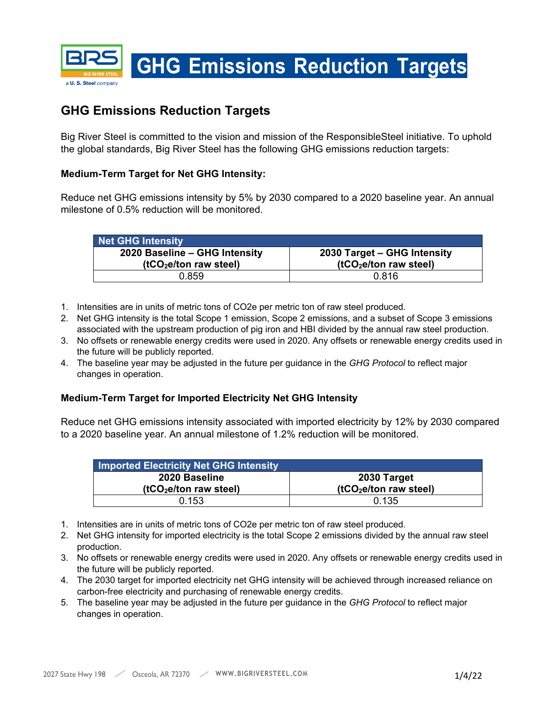

## **GHG Emissions Reduction Targets**

Big River Steel is committed to the vision and mission of the ResponsibleSteel initiative. To uphold the global standards, Big River Steel has the following GHG emissions reduction targets:

## **Medium-Term Target for Net GHG Intensity:**

Reduce net GHG emissions intensity by 5% by 2030 compared to a 2020 baseline year. An annual milestone of 0.5% reduction will be monitored.

| Net GHG Intensity                                                   |                                                                   |  |
|---------------------------------------------------------------------|-------------------------------------------------------------------|--|
| 2020 Baseline - GHG Intensity<br>(tCO <sub>2</sub> e/ton raw steel) | 2030 Target - GHG Intensity<br>(tCO <sub>2</sub> e/ton raw steel) |  |
| በ 859                                                               | 0.816                                                             |  |

- 1. Intensities are in units of metric tons of CO2e per metric ton of raw steel produced.
- 2. Net GHG intensity is the total Scope 1 emission, Scope 2 emissions, and a subset of Scope 3 emissions associated with the upstream production of pig iron and HBI divided by the annual raw steel production.
- 3. No offsets or renewable energy credits were used in 2020. Any offsets or renewable energy credits used in the future will be publicly reported.
- 4. The baseline year may be adjusted in the future per guidance in the *GHG Protocol* to reflect major changes in operation.

## **Medium-Term Target for Imported Electricity Net GHG Intensity**

Reduce net GHG emissions intensity associated with imported electricity by 12% by 2030 compared to a 2020 baseline year. An annual milestone of 1.2% reduction will be monitored.

| <b>Imported Electricity Net GHG Intensity</b> |                                    |
|-----------------------------------------------|------------------------------------|
| 2020 Baseline                                 | 2030 Target                        |
| (tCO <sub>2</sub> e/ton raw steel)            | (tCO <sub>2</sub> e/ton raw steel) |
| 0.153                                         | 0.135                              |

- 1. Intensities are in units of metric tons of CO2e per metric ton of raw steel produced.
- 2. Net GHG intensity for imported electricity is the total Scope 2 emissions divided by the annual raw steel production.
- 3. No offsets or renewable energy credits were used in 2020. Any offsets or renewable energy credits used in the future will be publicly reported.
- 4. The 2030 target for imported electricity net GHG intensity will be achieved through increased reliance on carbon-free electricity and purchasing of renewable energy credits.
- 5. The baseline year may be adjusted in the future per guidance in the *GHG Protocol* to reflect major changes in operation.